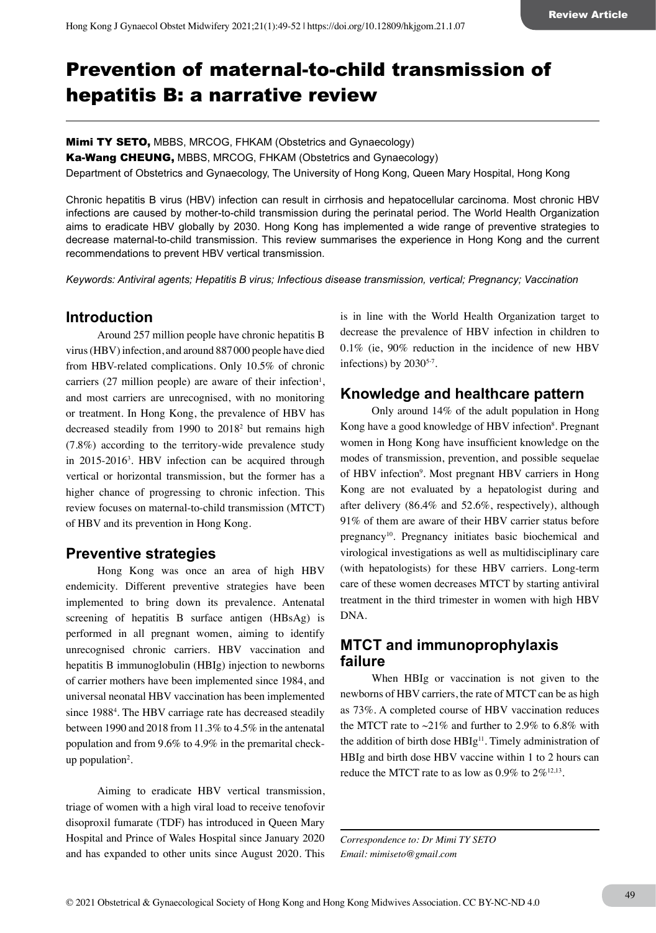# Prevention of maternal-to-child transmission of hepatitis B: a narrative review

Mimi TY SETO, MBBS, MRCOG, FHKAM (Obstetrics and Gynaecology)

Ka-Wang CHEUNG, MBBS, MRCOG, FHKAM (Obstetrics and Gynaecology)

Department of Obstetrics and Gynaecology, The University of Hong Kong, Queen Mary Hospital, Hong Kong

Chronic hepatitis B virus (HBV) infection can result in cirrhosis and hepatocellular carcinoma. Most chronic HBV infections are caused by mother-to-child transmission during the perinatal period. The World Health Organization aims to eradicate HBV globally by 2030. Hong Kong has implemented a wide range of preventive strategies to decrease maternal-to-child transmission. This review summarises the experience in Hong Kong and the current recommendations to prevent HBV vertical transmission.

*Keywords: Antiviral agents; Hepatitis B virus; Infectious disease transmission, vertical; Pregnancy; Vaccination*

# **Introduction**

Around 257 million people have chronic hepatitis B virus (HBV) infection, and around 887000 people have died from HBV-related complications. Only 10.5% of chronic carriers  $(27 \text{ million people})$  are aware of their infection<sup>1</sup>, and most carriers are unrecognised, with no monitoring or treatment. In Hong Kong, the prevalence of HBV has decreased steadily from 1990 to 20182 but remains high (7.8%) according to the territory-wide prevalence study in 2015-20163 . HBV infection can be acquired through vertical or horizontal transmission, but the former has a higher chance of progressing to chronic infection. This review focuses on maternal-to-child transmission (MTCT) of HBV and its prevention in Hong Kong.

# **Preventive strategies**

Hong Kong was once an area of high HBV endemicity. Different preventive strategies have been implemented to bring down its prevalence. Antenatal screening of hepatitis B surface antigen (HBsAg) is performed in all pregnant women, aiming to identify unrecognised chronic carriers. HBV vaccination and hepatitis B immunoglobulin (HBIg) injection to newborns of carrier mothers have been implemented since 1984, and universal neonatal HBV vaccination has been implemented since 1988<sup>4</sup>. The HBV carriage rate has decreased steadily between 1990 and 2018 from 11.3% to 4.5% in the antenatal population and from 9.6% to 4.9% in the premarital checkup population2 .

Aiming to eradicate HBV vertical transmission, triage of women with a high viral load to receive tenofovir disoproxil fumarate (TDF) has introduced in Queen Mary Hospital and Prince of Wales Hospital since January 2020 and has expanded to other units since August 2020. This

is in line with the World Health Organization target to decrease the prevalence of HBV infection in children to 0.1% (ie, 90% reduction in the incidence of new HBV infections) by  $2030^{5.7}$ .

# **Knowledge and healthcare pattern**

Only around 14% of the adult population in Hong Kong have a good knowledge of HBV infection<sup>8</sup>. Pregnant women in Hong Kong have insufficient knowledge on the modes of transmission, prevention, and possible sequelae of HBV infection<sup>9</sup>. Most pregnant HBV carriers in Hong Kong are not evaluated by a hepatologist during and after delivery (86.4% and 52.6%, respectively), although 91% of them are aware of their HBV carrier status before pregnancy<sup>10</sup>. Pregnancy initiates basic biochemical and virological investigations as well as multidisciplinary care (with hepatologists) for these HBV carriers. Long-term care of these women decreases MTCT by starting antiviral treatment in the third trimester in women with high HBV DNA.

### **MTCT and immunoprophylaxis failure**

When HBIg or vaccination is not given to the newborns of HBV carriers, the rate of MTCT can be as high as 73%. A completed course of HBV vaccination reduces the MTCT rate to  $\sim$ 21% and further to 2.9% to 6.8% with the addition of birth dose HBIg<sup>11</sup>. Timely administration of HBIg and birth dose HBV vaccine within 1 to 2 hours can reduce the MTCT rate to as low as  $0.9\%$  to  $2\%^{12,13}$ .

*Correspondence to: Dr Mimi TY SETO Email: mimiseto@gmail.com*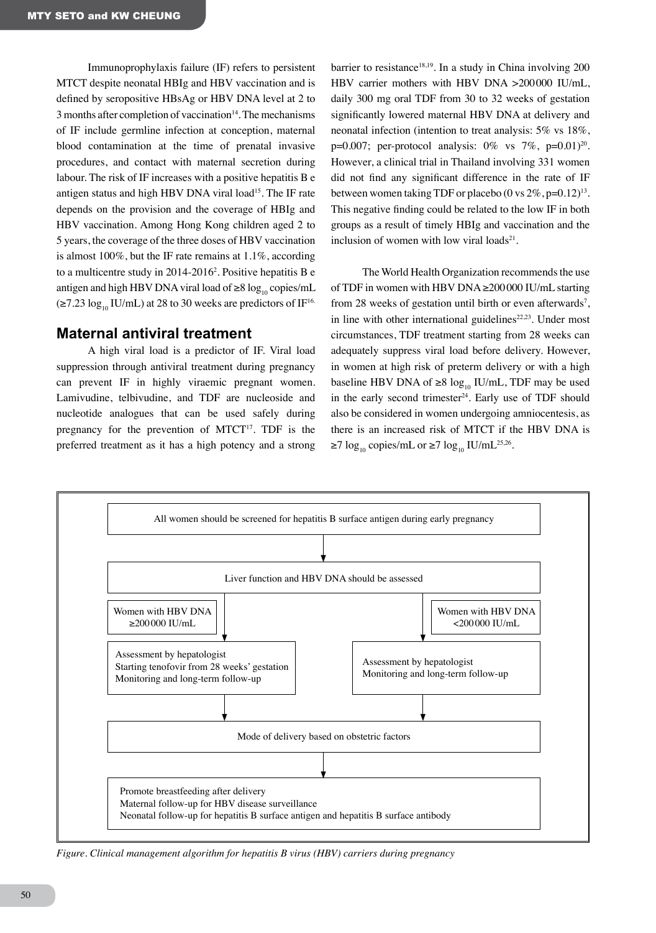Immunoprophylaxis failure (IF) refers to persistent MTCT despite neonatal HBIg and HBV vaccination and is defined by seropositive HBsAg or HBV DNA level at 2 to  $3$  months after completion of vaccination $14$ . The mechanisms of IF include germline infection at conception, maternal blood contamination at the time of prenatal invasive procedures, and contact with maternal secretion during labour. The risk of IF increases with a positive hepatitis B e antigen status and high HBV DNA viral load<sup>15</sup>. The IF rate depends on the provision and the coverage of HBIg and HBV vaccination. Among Hong Kong children aged 2 to 5 years, the coverage of the three doses of HBV vaccination is almost 100%, but the IF rate remains at 1.1%, according to a multicentre study in 2014-20162 . Positive hepatitis B e antigen and high HBV DNA viral load of  $\geq 8 \log_{10} \text{copies/mL}$  $(\geq 7.23 \log_{10} \text{IU/mL})$  at 28 to 30 weeks are predictors of IF<sup>16.</sup>

#### **Maternal antiviral treatment**

A high viral load is a predictor of IF. Viral load suppression through antiviral treatment during pregnancy can prevent IF in highly viraemic pregnant women. Lamivudine, telbivudine, and TDF are nucleoside and nucleotide analogues that can be used safely during pregnancy for the prevention of MTCT<sup>17</sup>. TDF is the preferred treatment as it has a high potency and a strong barrier to resistance<sup>18,19</sup>. In a study in China involving  $200$ HBV carrier mothers with HBV DNA >200000 IU/mL, daily 300 mg oral TDF from 30 to 32 weeks of gestation significantly lowered maternal HBV DNA at delivery and neonatal infection (intention to treat analysis: 5% vs 18%, p=0.007; per-protocol analysis:  $0\%$  vs  $7\%$ , p=0.01)<sup>20</sup>. However, a clinical trial in Thailand involving 331 women did not find any significant difference in the rate of IF between women taking TDF or placebo (0 vs  $2\%$ , p=0.12)<sup>13</sup>. This negative finding could be related to the low IF in both groups as a result of timely HBIg and vaccination and the inclusion of women with low viral loads $2<sup>1</sup>$ .

The World Health Organization recommends the use of TDF in women with HBV DNA ≥200000 IU/mL starting from 28 weeks of gestation until birth or even afterwards<sup>7</sup>, in line with other international guidelines $22,23$ . Under most circumstances, TDF treatment starting from 28 weeks can adequately suppress viral load before delivery. However, in women at high risk of preterm delivery or with a high baseline HBV DNA of ≥8  $log_{10}$  IU/mL, TDF may be used in the early second trimester $24$ . Early use of TDF should also be considered in women undergoing amniocentesis, as there is an increased risk of MTCT if the HBV DNA is  $≥7 \log_{10} \text{copies/mL}$  or  $≥7 \log_{10} \text{IU/mL}^{25,26}$ .



*Figure. Clinical management algorithm for hepatitis B virus (HBV) carriers during pregnancy*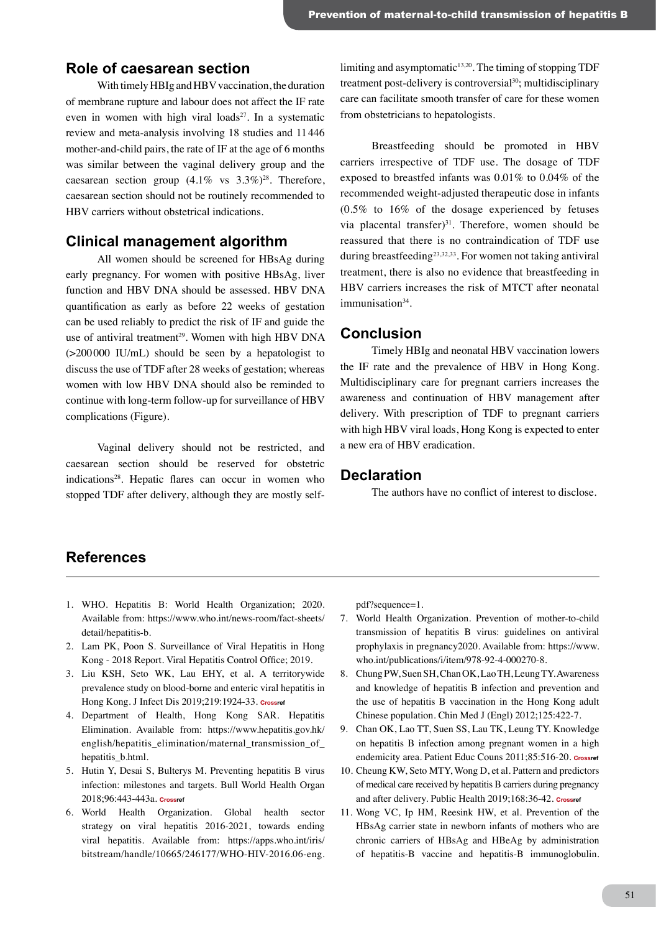#### **Role of caesarean section**

With timely HBIg and HBV vaccination, the duration of membrane rupture and labour does not affect the IF rate even in women with high viral loads $27$ . In a systematic review and meta-analysis involving 18 studies and 11446 mother-and-child pairs, the rate of IF at the age of 6 months was similar between the vaginal delivery group and the caesarean section group  $(4.1\% \text{ vs } 3.3\%)^{28}$ . Therefore, caesarean section should not be routinely recommended to HBV carriers without obstetrical indications.

#### **Clinical management algorithm**

All women should be screened for HBsAg during early pregnancy. For women with positive HBsAg, liver function and HBV DNA should be assessed. HBV DNA quantification as early as before 22 weeks of gestation can be used reliably to predict the risk of IF and guide the use of antiviral treatment<sup>29</sup>. Women with high HBV DNA (>200000 IU/mL) should be seen by a hepatologist to discuss the use of TDF after 28 weeks of gestation; whereas women with low HBV DNA should also be reminded to continue with long-term follow-up for surveillance of HBV complications (Figure).

Vaginal delivery should not be restricted, and caesarean section should be reserved for obstetric indications28. Hepatic flares can occur in women who stopped TDF after delivery, although they are mostly self-

limiting and asymptomatic $13,20$ . The timing of stopping TDF treatment post-delivery is controversial $30$ ; multidisciplinary care can facilitate smooth transfer of care for these women from obstetricians to hepatologists.

Breastfeeding should be promoted in HBV carriers irrespective of TDF use. The dosage of TDF exposed to breastfed infants was 0.01% to 0.04% of the recommended weight-adjusted therapeutic dose in infants (0.5% to 16% of the dosage experienced by fetuses via placental transfer $)^{31}$ . Therefore, women should be reassured that there is no contraindication of TDF use during breastfeeding23,32,33. For women not taking antiviral treatment, there is also no evidence that breastfeeding in HBV carriers increases the risk of MTCT after neonatal immunisation<sup>34</sup>.

### **Conclusion**

Timely HBIg and neonatal HBV vaccination lowers the IF rate and the prevalence of HBV in Hong Kong. Multidisciplinary care for pregnant carriers increases the awareness and continuation of HBV management after delivery. With prescription of TDF to pregnant carriers with high HBV viral loads, Hong Kong is expected to enter a new era of HBV eradication.

#### **Declaration**

The authors have no conflict of interest to disclose.

### **References**

- 1. WHO. Hepatitis B: World Health Organization; 2020. Available from: https://www.who.int/news-room/fact-sheets/ detail/hepatitis-b.
- 2. Lam PK, Poon S. Surveillance of Viral Hepatitis in Hong Kong - 2018 Report. Viral Hepatitis Control Office; 2019.
- 3. Liu KSH, Seto WK, Lau EHY, et al. A territorywide prevalence study on blood-borne and enteric viral hepatitis in Hong Kong. J Infect Dis 2019;219:1924-33. **[Crossref](https://doi.org/10.1093/infdis/jiz038)**
- 4. Department of Health, Hong Kong SAR. Hepatitis Elimination. Available from: https://www.hepatitis.gov.hk/ english/hepatitis\_elimination/maternal\_transmission\_of\_ hepatitis\_b.html.
- 5. Hutin Y, Desai S, Bulterys M. Preventing hepatitis B virus infection: milestones and targets. Bull World Health Organ 2018;96:443-443a. **[Crossref](https://doi.org/10.2471/BLT.18.215210)**
- 6. World Health Organization. Global health sector strategy on viral hepatitis 2016-2021, towards ending viral hepatitis. Available from: https://apps.who.int/iris/ bitstream/handle/10665/246177/WHO-HIV-2016.06-eng.

pdf?sequence=1.

- 7. World Health Organization. Prevention of mother-to-child transmission of hepatitis B virus: guidelines on antiviral prophylaxis in pregnancy2020. Available from: https://www. who.int/publications/i/item/978-92-4-000270-8.
- 8. Chung PW, Suen SH, Chan OK, Lao TH, Leung TY. Awareness and knowledge of hepatitis B infection and prevention and the use of hepatitis B vaccination in the Hong Kong adult Chinese population. Chin Med J (Engl) 2012;125:422-7.
- 9. Chan OK, Lao TT, Suen SS, Lau TK, Leung TY. Knowledge on hepatitis B infection among pregnant women in a high endemicity area. Patient Educ Couns 2011;85:516-20. **[Crossref](https://doi.org/10.1016/j.pec.2010.11.006)**
- 10. Cheung KW, Seto MTY, Wong D, et al. Pattern and predictors of medical care received by hepatitis B carriers during pregnancy and after delivery. Public Health 2019;168:36-42. **[Crossref](https://doi.org/10.1016/j.puhe.2018.12.008)**
- 11. Wong VC, Ip HM, Reesink HW, et al. Prevention of the HBsAg carrier state in newborn infants of mothers who are chronic carriers of HBsAg and HBeAg by administration of hepatitis-B vaccine and hepatitis-B immunoglobulin.